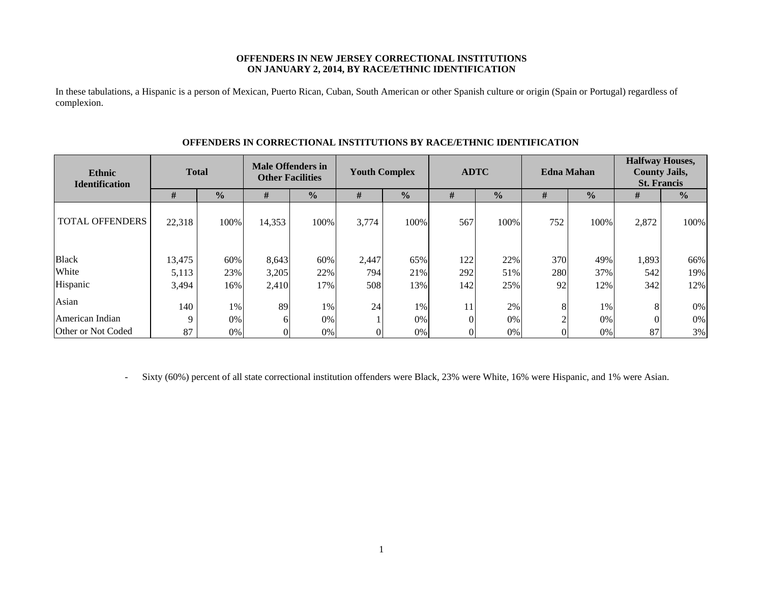## **OFFENDERS IN NEW JERSEY CORRECTIONAL INSTITUTIONS ON JANUARY 2, 2014, BY RACE/ETHNIC IDENTIFICATION**

In these tabulations, a Hispanic is a person of Mexican, Puerto Rican, Cuban, South American or other Spanish culture or origin (Spain or Portugal) regardless of complexion.

| <b>Ethnic</b><br><b>Identification</b> |        | <b>Total</b>  |        | <b>Male Offenders in</b><br><b>Other Facilities</b> |       | <b>Youth Complex</b> |     | <b>ADTC</b>   | <b>Edna Mahan</b> |               | <b>Halfway Houses,</b><br><b>County Jails,</b><br><b>St. Francis</b> |               |
|----------------------------------------|--------|---------------|--------|-----------------------------------------------------|-------|----------------------|-----|---------------|-------------------|---------------|----------------------------------------------------------------------|---------------|
|                                        | #      | $\frac{0}{0}$ | #      | $\frac{0}{0}$                                       | #     | $\frac{0}{0}$        | #   | $\frac{1}{2}$ | #                 | $\frac{0}{0}$ | #                                                                    | $\frac{0}{0}$ |
| <b>TOTAL OFFENDERS</b>                 | 22,318 | 100%          | 14,353 | 100%                                                | 3,774 | 100%                 | 567 | 100%          | 752               | 100%          | 2,872                                                                | 100%          |
| <b>Black</b>                           | 13,475 | 60%           | 8,643  | 60%                                                 | 2,447 | 65%                  | 122 | 22%           | 370               | 49%           | 1,893                                                                | 66%           |
| White                                  | 5,113  | 23%           | 3,205  | 22%                                                 | 794   | 21%                  | 292 | 51%           | 280               | 37%           | 542                                                                  | 19%           |
| Hispanic                               | 3,494  | 16%           | 2,410  | 17%                                                 | 508   | 13%                  | 142 | 25%           | 92                | 12%           | 342                                                                  | 12%           |
| Asian                                  | 140    | 1%            | 89     | 1%                                                  | 24    | 1%                   | 11  | 2%            | 8                 | 1%            |                                                                      | 0%            |
| American Indian                        | Q      | $0\%$         | 6      | 0%                                                  |       | 0%                   |     | 0%            |                   | 0%            |                                                                      | 0%            |
| Other or Not Coded                     | 87     | $0\%$         | 0      | 0%                                                  |       | $0\%$                |     | $0\%$         |                   | 0%            | 87                                                                   | 3%            |

## **OFFENDERS IN CORRECTIONAL INSTITUTIONS BY RACE/ETHNIC IDENTIFICATION**

-Sixty (60%) percent of all state correctional institution offenders were Black, 23% were White, 16% were Hispanic, and 1% were Asian.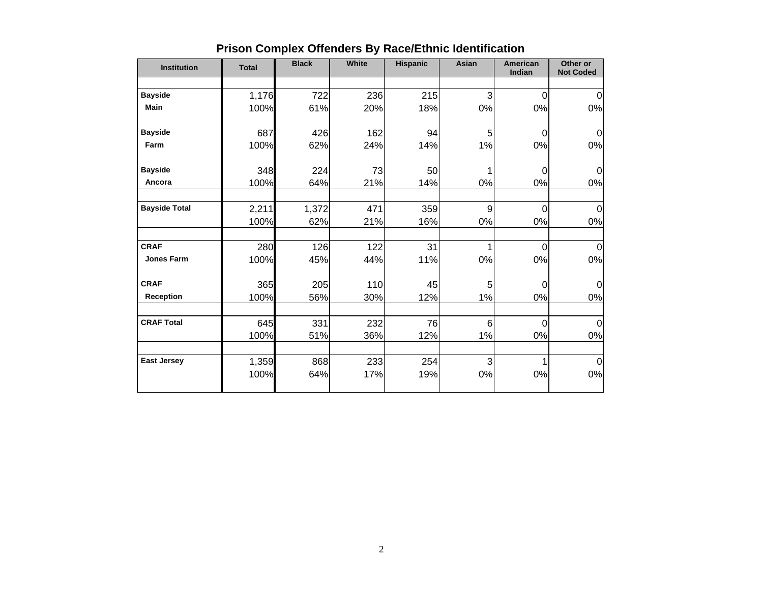| <b>Institution</b>   | <b>Total</b> | <b>Black</b> | <b>White</b> | <b>Hispanic</b> | <b>Asian</b>    | <b>American</b><br>Indian | Other or<br><b>Not Coded</b> |
|----------------------|--------------|--------------|--------------|-----------------|-----------------|---------------------------|------------------------------|
|                      |              |              |              |                 |                 |                           |                              |
| <b>Bayside</b>       | 1,176        | 722          | 236          | 215             | 3               | 0                         | 0                            |
| <b>Main</b>          | 100%         | 61%          | 20%          | 18%             | 0%              | 0%                        | 0%                           |
| <b>Bayside</b>       | 687          | 426          | 162          | 94              | 5               | 0                         | 0                            |
| Farm                 | 100%         | 62%          | 24%          | 14%             | 1%              | 0%                        | 0%                           |
| <b>Bayside</b>       | 348          | 224          | 73           | 50              | 1               | 0                         | $\Omega$                     |
| Ancora               | 100%         | 64%          | 21%          | 14%             | 0%              | 0%                        | 0%                           |
| <b>Bayside Total</b> | 2,211        | 1,372        | 471          | 359             | 9               | 0                         | 0                            |
|                      | 100%         | 62%          | 21%          | 16%             | 0%              | 0%                        | 0%                           |
| <b>CRAF</b>          | 280          | 126          | 122          | 31              | $\mathbf{1}$    | 0                         | $\overline{0}$               |
| <b>Jones Farm</b>    | 100%         | 45%          | 44%          | 11%             | 0%              | 0%                        | $0\%$                        |
| <b>CRAF</b>          | 365          | 205          | 110          | 45              | 5               | 0                         | 0                            |
| <b>Reception</b>     | 100%         | 56%          | 30%          | 12%             | 1%              | 0%                        | 0%                           |
| <b>CRAF Total</b>    | 645          | 331          | 232          | 76              | $6\phantom{1}6$ | 0                         | $\Omega$                     |
|                      | 100%         | 51%          | 36%          | 12%             | 1%              | 0%                        | 0%                           |
| <b>East Jersey</b>   | 1,359        | 868          | 233          | 254             | 3               |                           | $\mathbf 0$                  |
|                      | 100%         | 64%          | 17%          | 19%             | 0%              | 0%                        | $0\%$                        |
|                      |              |              |              |                 |                 |                           |                              |

# **Prison Complex Offenders By Race/Ethnic Identification**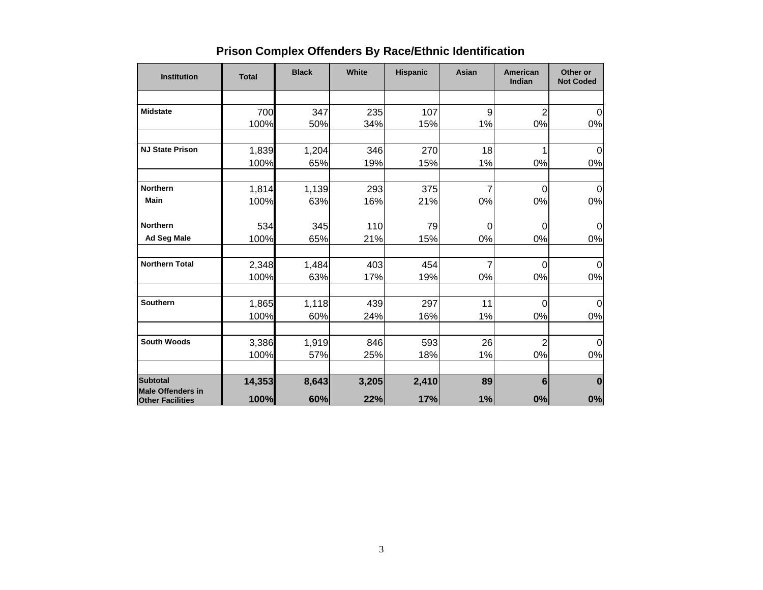| <b>Institution</b>                                  | <b>Total</b> | <b>Black</b> | White | <b>Hispanic</b> | Asian          | <b>American</b><br>Indian | Other or<br><b>Not Coded</b> |
|-----------------------------------------------------|--------------|--------------|-------|-----------------|----------------|---------------------------|------------------------------|
|                                                     |              |              |       |                 |                |                           |                              |
| <b>Midstate</b>                                     | 700          | 347          | 235   | 107             | 9              | $\overline{2}$            | $\Omega$                     |
|                                                     | 100%         | 50%          | 34%   | 15%             | 1%             | 0%                        | 0%                           |
| <b>NJ State Prison</b>                              | 1,839        | 1,204        | 346   | 270             | 18             |                           | $\Omega$                     |
|                                                     | 100%         | 65%          | 19%   | 15%             | 1%             | 0%                        | 0%                           |
|                                                     |              |              |       |                 |                |                           |                              |
| <b>Northern</b>                                     | 1,814        | 1,139        | 293   | 375             | $\overline{7}$ | 0                         | 0                            |
| <b>Main</b>                                         | 100%         | 63%          | 16%   | 21%             | 0%             | 0%                        | 0%                           |
| <b>Northern</b>                                     | 534          | 345          | 110   | 79              | $\pmb{0}$      | 0                         | 0                            |
| Ad Seg Male                                         | 100%         | 65%          | 21%   | 15%             | $0\%$          | 0%                        | 0%                           |
| <b>Northern Total</b>                               | 2,348        | 1,484        | 403   | 454             | $\overline{7}$ | $\overline{0}$            | 0                            |
|                                                     | 100%         | 63%          | 17%   | 19%             | $0\%$          | 0%                        | 0%                           |
|                                                     |              |              |       |                 |                |                           |                              |
| <b>Southern</b>                                     | 1,865        | 1,118        | 439   | 297             | 11             | 0                         | 0                            |
|                                                     | 100%         | 60%          | 24%   | 16%             | 1%             | 0%                        | 0%                           |
| <b>South Woods</b>                                  | 3,386        | 1,919        | 846   | 593             | 26             | $\overline{2}$            | 0                            |
|                                                     | 100%         | 57%          | 25%   | 18%             | 1%             | 0%                        | 0%                           |
| <b>Subtotal</b>                                     | 14,353       | 8,643        | 3,205 | 2,410           | 89             | 6                         | $\bf{0}$                     |
| <b>Male Offenders in</b><br><b>Other Facilities</b> | 100%         | 60%          | 22%   | 17%             | 1%             | 0%                        | 0%                           |

# **Prison Complex Offenders By Race/Ethnic Identification**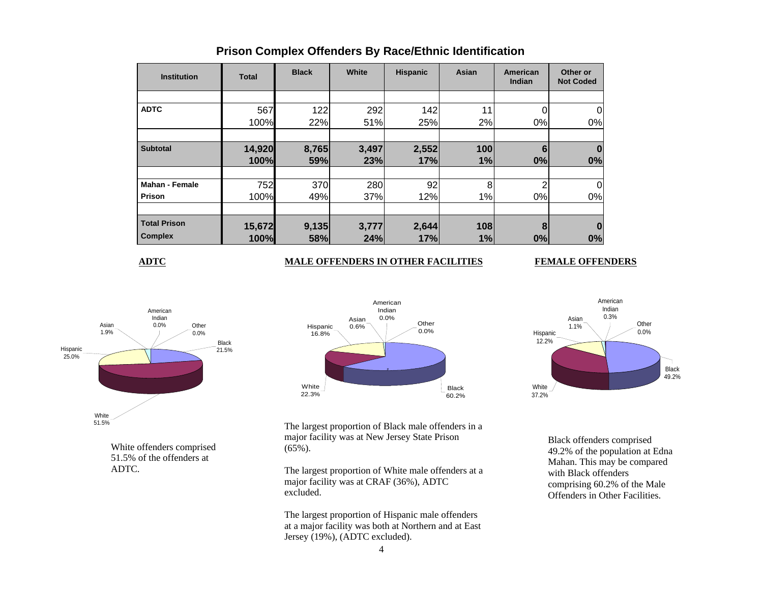| <b>Institution</b>    | <b>Total</b> | <b>Black</b> | White | <b>Hispanic</b> | Asian | American<br>Indian | Other or<br><b>Not Coded</b> |
|-----------------------|--------------|--------------|-------|-----------------|-------|--------------------|------------------------------|
|                       |              |              |       |                 |       |                    |                              |
| <b>ADTC</b>           | 567          | 122          | 292   | 142             | 11    |                    |                              |
|                       | 100%         | 22%          | 51%   | 25%             | 2%    | 0%                 | 0%                           |
|                       |              |              |       |                 |       |                    |                              |
| <b>Subtotal</b>       | 14,920       | 8,765        | 3,497 | 2,552           | 100   | 6                  |                              |
|                       | 100%         | 59%          | 23%   | 17%             | 1%    | 0%                 | 0%                           |
|                       |              |              |       |                 |       |                    |                              |
| <b>Mahan - Female</b> | 752          | 370          | 280   | 92              | 8     | $\overline{2}$     |                              |
| Prison                | 100%         | 49%          | 37%   | 12%             | 1%    | 0%                 | 0%                           |
|                       |              |              |       |                 |       |                    |                              |
| <b>Total Prison</b>   | 15,672       | 9,135        | 3,777 | 2,644           | 108   | 8                  |                              |
| <b>Complex</b>        | 100%         | 58%          | 24%   | 17%             | 1%    | 0%                 | 0%                           |

## **Prison Complex Offenders By Race/Ethnic Identification**

**ADTC**

## **MALE OFFENDERS IN OTHER FACILITIES FEMALE OFFENDERS**



White offenders comprised 51.5% of the offenders at ADTC.



The largest proportion of Black male offenders in a major facility was at New Jersey State Prison (65%).

The largest proportion of White male offenders at a major facility was at CRAF (36%), ADTC excluded.

The largest proportion of Hispanic male offenders at a major facility was both at Northern and at East Jersey (19%), (ADTC excluded).



Black offenders comprised 49.2% of the population at Edna Mahan. This may be compared with Black offenders comprising 60.2% of the Male Offenders in Other Facilities.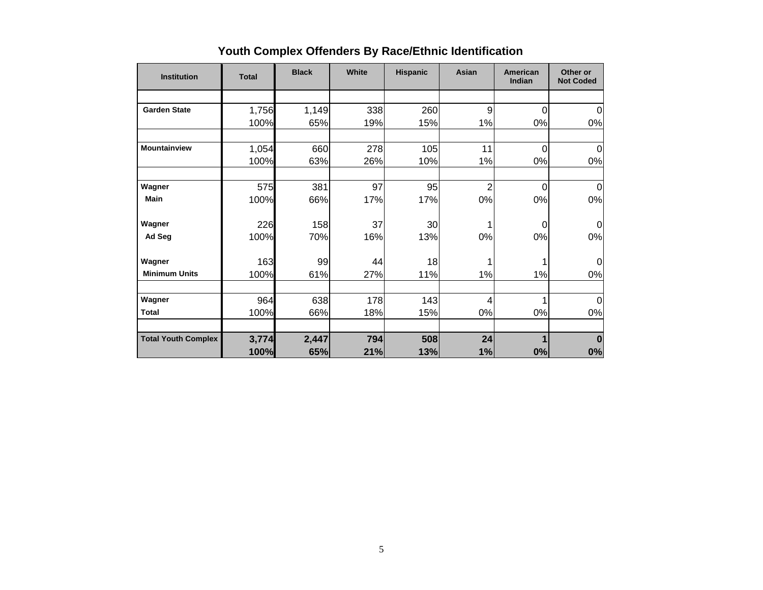| <b>Institution</b>         | <b>Total</b> | <b>Black</b> | White | <b>Hispanic</b> | Asian          | American<br>Indian | Other or<br><b>Not Coded</b> |
|----------------------------|--------------|--------------|-------|-----------------|----------------|--------------------|------------------------------|
|                            |              |              |       |                 |                |                    |                              |
| <b>Garden State</b>        | 1,756        | 1,149        | 338   | 260             | 9              | $\mathbf 0$        | 0                            |
|                            | 100%         | 65%          | 19%   | 15%             | 1%             | 0%                 | 0%                           |
| <b>Mountainview</b>        | 1,054        | 660          | 278   | 105             | 11             | 0                  | 0                            |
|                            | 100%         | 63%          | 26%   | 10%             | 1%             | 0%                 | 0%                           |
| Wagner                     | 575          | 381          | 97    | 95              | $\overline{2}$ | $\Omega$           | $\Omega$                     |
| <b>Main</b>                | 100%         | 66%          | 17%   | 17%             | 0%             | 0%                 | 0%                           |
| Wagner                     | 226          | 158          | 37    | 30              | 1              | 0                  | $\Omega$                     |
| Ad Seg                     | 100%         | 70%          | 16%   | 13%             | 0%             | 0%                 | 0%                           |
| Wagner                     | 163          | 99           | 44    | 18              |                |                    | $\Omega$                     |
| <b>Minimum Units</b>       | 100%         | 61%          | 27%   | 11%             | 1%             | 1%                 | 0%                           |
| Wagner                     | 964          | 638          | 178   | 143             | $\overline{4}$ |                    | $\overline{0}$               |
| <b>Total</b>               | 100%         | 66%          | 18%   | 15%             | 0%             | 0%                 | 0%                           |
| <b>Total Youth Complex</b> | 3,774        | 2,447        | 794   | 508             | 24             |                    | $\bf{0}$                     |
|                            | 100%         | 65%          | 21%   | 13%             | 1%             | 0%                 | 0%                           |

# **Youth Complex Offenders By Race/Ethnic Identification**